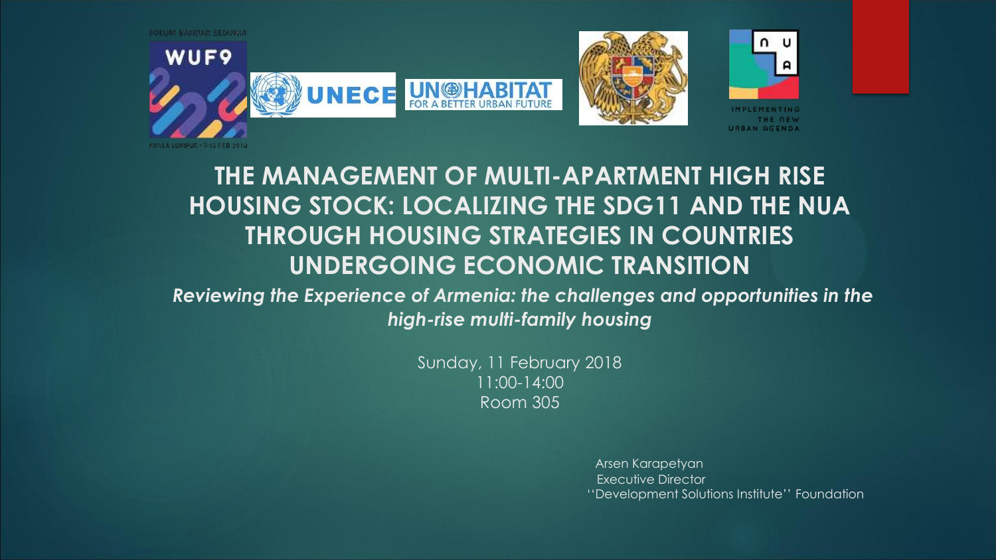

# **THE MANAGEMENT OF MULTI-APARTMENT HIGH RISE HOUSING STOCK: LOCALIZING THE SDG11 AND THE NUA THROUGH HOUSING STRATEGIES IN COUNTRIES UNDERGOING ECONOMIC TRANSITION**

*Reviewing the Experience of Armenia: the challenges and opportunities in the high-rise multi-family housing*

> Sunday, 11 February 2018 11:00-14:00 Room 305

> > Arsen Karapetyan Executive Director ''Development Solutions Institute'' Foundation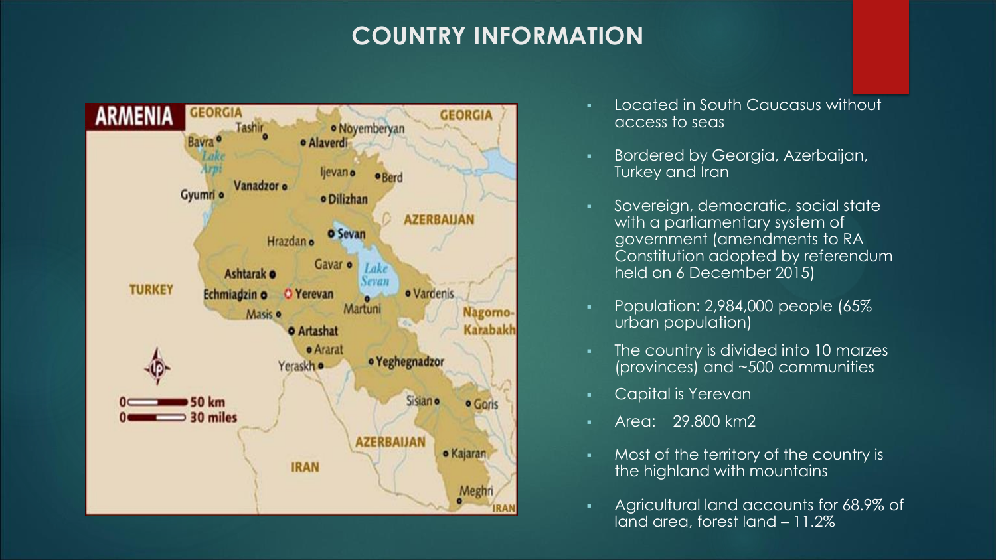# **COUNTRY INFORMATION**



- **Located in South Caucasus without** access to seas
- **Bordered by Georgia, Azerbaijan,** Turkey and Iran
- **Sovereign, democratic, social state** with a parliamentary system of government (amendments to RA Constitution adopted by referendum held on 6 December 2015)
- Population: 2,984,000 people (65% urban population)
- The country is divided into 10 marzes (provinces) and ~500 communities
- **Capital is Yerevan**
- Area: 29.800 km2
- Most of the territory of the country is the highland with mountains
- Agricultural land accounts for 68.9% of land area, forest land – 11.2%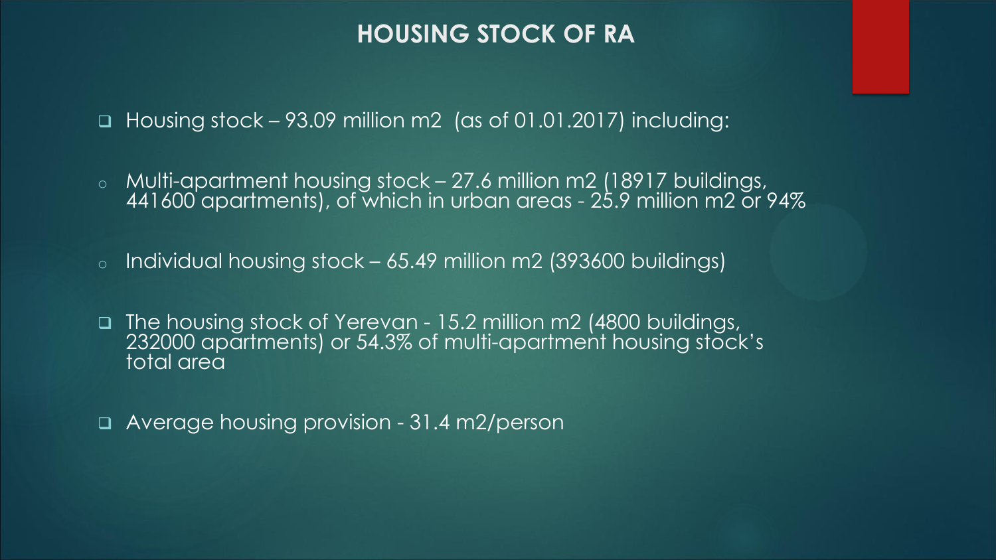### **HOUSING STOCK OF RA**

■ Housing stock – 93.09 million m2 (as of 01.01.2017) including:

o Multi-apartment housing stock – 27.6 million m2 (18917 buildings, 441600 apartments), of which in urban areas - 25.9 million m2 or 94%

o Individual housing stock – 65.49 million m2 (393600 buildings)

 The housing stock of Yerevan - 15.2 million m2 (4800 buildings, 232000 apartments) or 54.3% of multi-apartment housing stock's total area

Average housing provision - 31.4 m2/person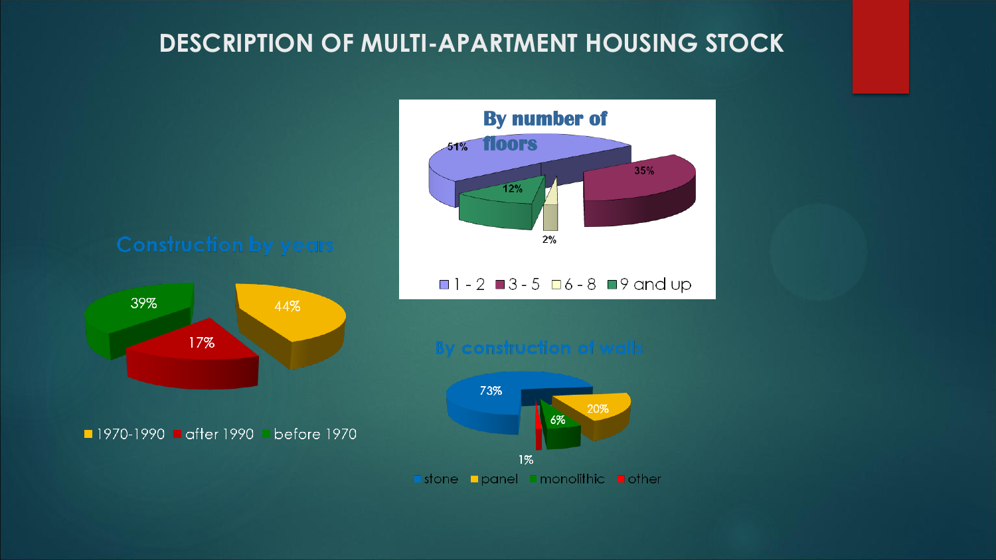# **DESCRIPTION OF MULTI-APARTMENT HOUSING STOCK**

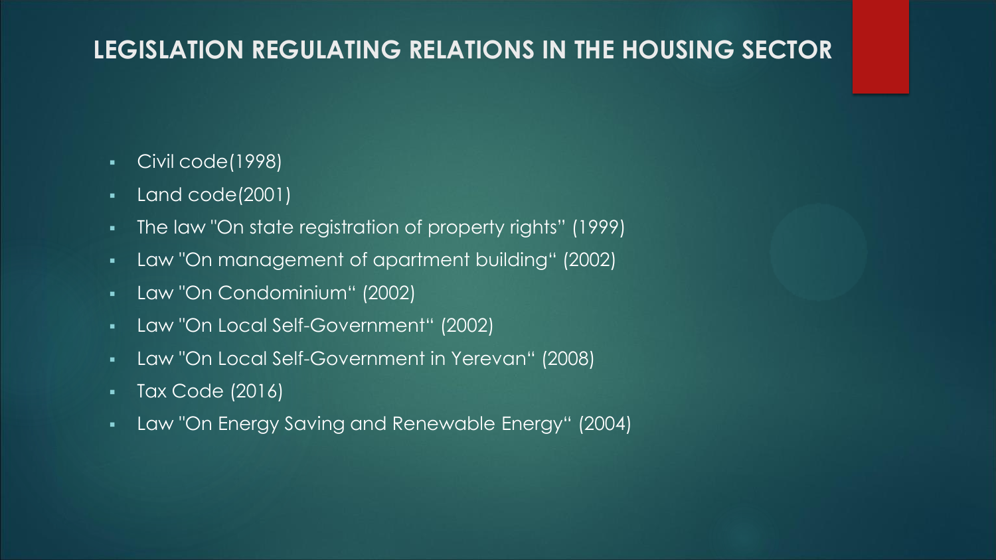## **LEGISLATION REGULATING RELATIONS IN THE HOUSING SECTOR**

- Civil code(1998)
- Land code(2001)
- The law "On state registration of property rights" (1999)
- Law "On management of apartment building" (2002)
- Law "On Condominium" (2002)
- Law "On Local Self-Government" (2002)
- Law "On Local Self-Government in Yerevan" (2008)
- Tax Code (2016)
- Law "On Energy Saving and Renewable Energy" (2004)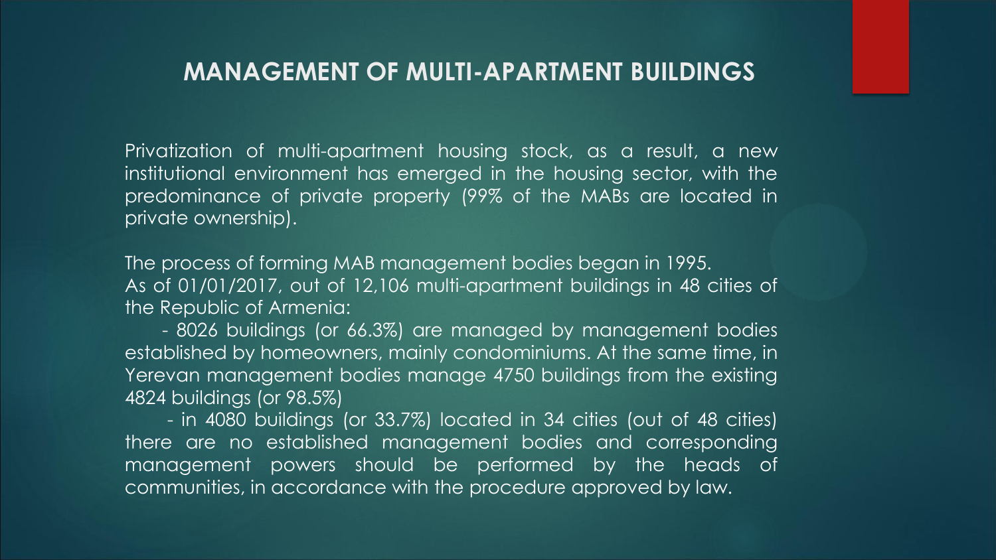### **MANAGEMENT OF MULTI-APARTMENT BUILDINGS**

Privatization of multi-apartment housing stock, as a result, a new institutional environment has emerged in the housing sector, with the predominance of private property (99% of the MABs are located in private ownership).

The process of forming MAB management bodies began in 1995. As of 01/01/2017, out of 12,106 multi-apartment buildings in 48 cities of the Republic of Armenia:

- 8026 buildings (or 66.3%) are managed by management bodies established by homeowners, mainly condominiums. At the same time, in Yerevan management bodies manage 4750 buildings from the existing 4824 buildings (or 98.5%)

- in 4080 buildings (or 33.7%) located in 34 cities (out of 48 cities) there are no established management bodies and corresponding management powers should be performed by the heads of communities, in accordance with the procedure approved by law.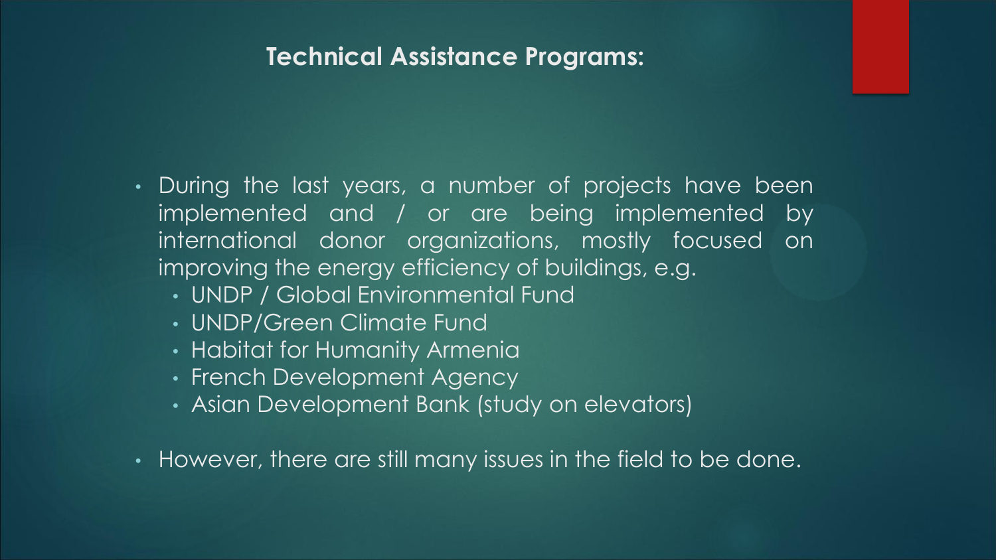### **Technical Assistance Programs:**

- During the last years, a number of projects have been implemented and / or are being implemented by international donor organizations, mostly focused on improving the energy efficiency of buildings, e.g.
	- UNDP / Global Environmental Fund
	- UNDP/Green Climate Fund
	- Habitat for Humanity Armenia
	- French Development Agency
	- Asian Development Bank (study on elevators)
- However, there are still many issues in the field to be done.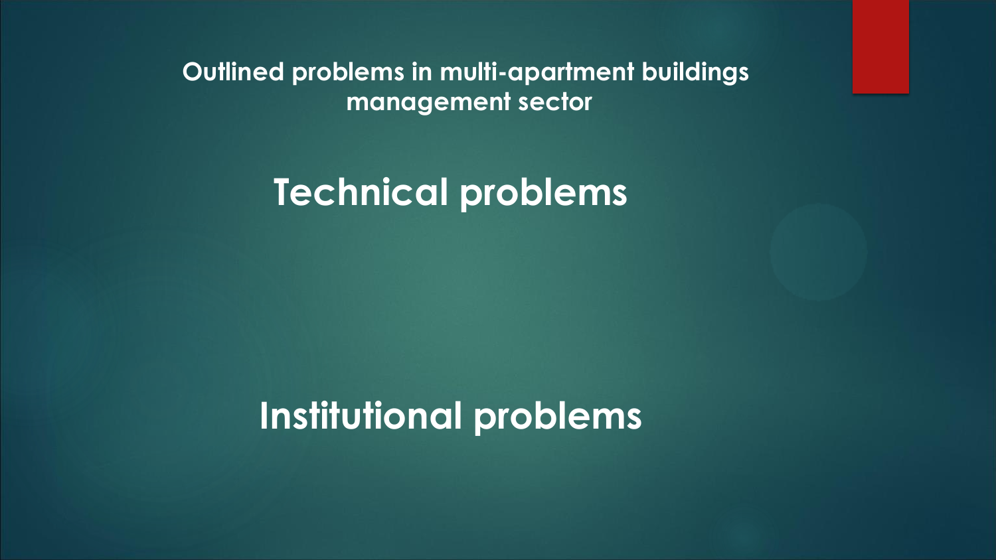**Outlined problems in multi-apartment buildings management sector**

**Technical problems** 

**Institutional problems**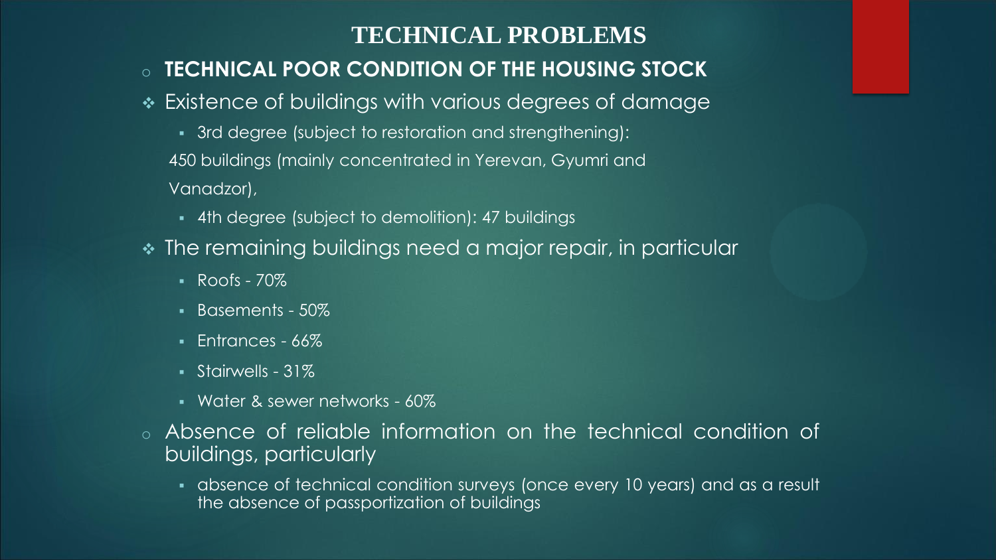### **TECHNICAL PROBLEMS**

### o **TECHNICAL POOR CONDITION OF THE HOUSING STOCK**

- Existence of buildings with various degrees of damage
	- 3rd degree (subject to restoration and strengthening): 450 buildings (mainly concentrated in Yerevan, Gyumri and Vanadzor),
	- 4th degree (subject to demolition): 47 buildings
- The remaining buildings need a major repair, in particular
	- $\overline{R}$  Roofs 70%
	- Basements 50%
	- Entrances 66%
	- Stairwells 31%
	- Water & sewer networks 60%
- o Absence of reliable information on the technical condition of buildings, particularly
	- absence of technical condition surveys (once every 10 years) and as a result the absence of passportization of buildings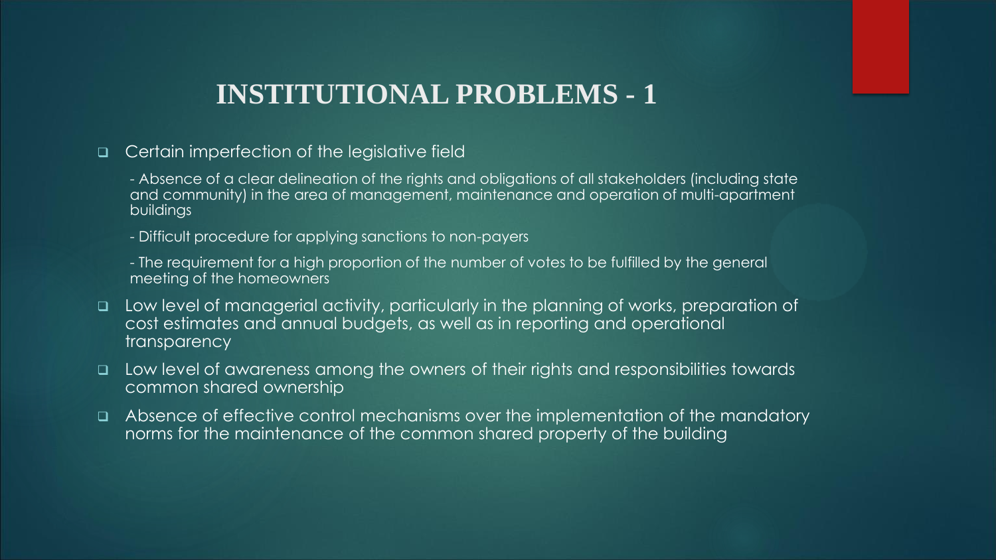## **INSTITUTIONAL PROBLEMS - 1**

- Certain imperfection of the legislative field
	- Absence of a clear delineation of the rights and obligations of all stakeholders (including state and community) in the area of management, maintenance and operation of multi-apartment buildings

- Difficult procedure for applying sanctions to non-payers

- The requirement for a high proportion of the number of votes to be fulfilled by the general meeting of the homeowners

- Low level of managerial activity, particularly in the planning of works, preparation of cost estimates and annual budgets, as well as in reporting and operational transparency
- $\Box$  Low level of awareness among the owners of their rights and responsibilities towards common shared ownership
- Absence of effective control mechanisms over the implementation of the mandatory norms for the maintenance of the common shared property of the building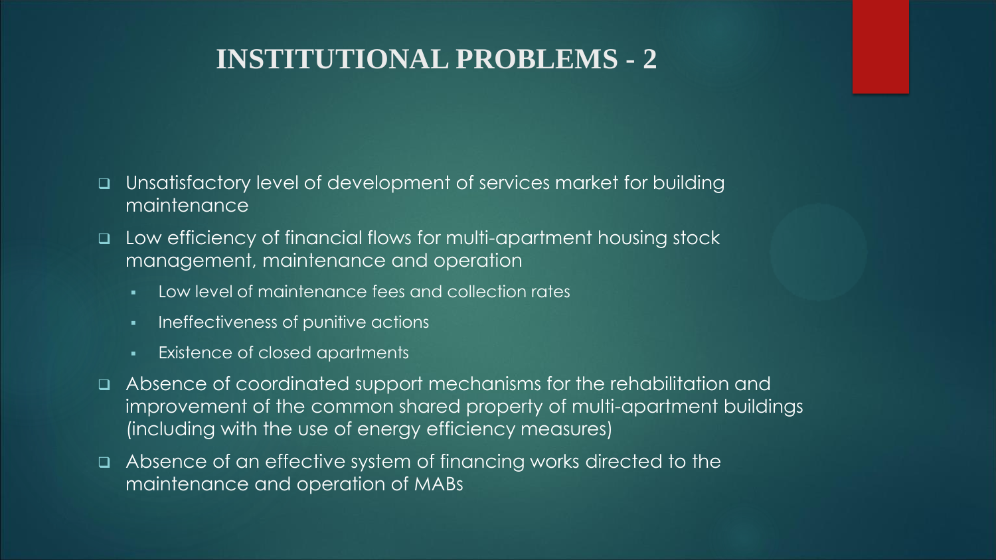# **INSTITUTIONAL PROBLEMS - 2**

- Unsatisfactory level of development of services market for building maintenance
- Low efficiency of financial flows for multi-apartment housing stock management, maintenance and operation
	- Low level of maintenance fees and collection rates
	- **Ineffectiveness of punitive actions**
	- **Existence of closed apartments**
- Absence of coordinated support mechanisms for the rehabilitation and improvement of the common shared property of multi-apartment buildings (including with the use of energy efficiency measures)
- Absence of an effective system of financing works directed to the maintenance and operation of MABs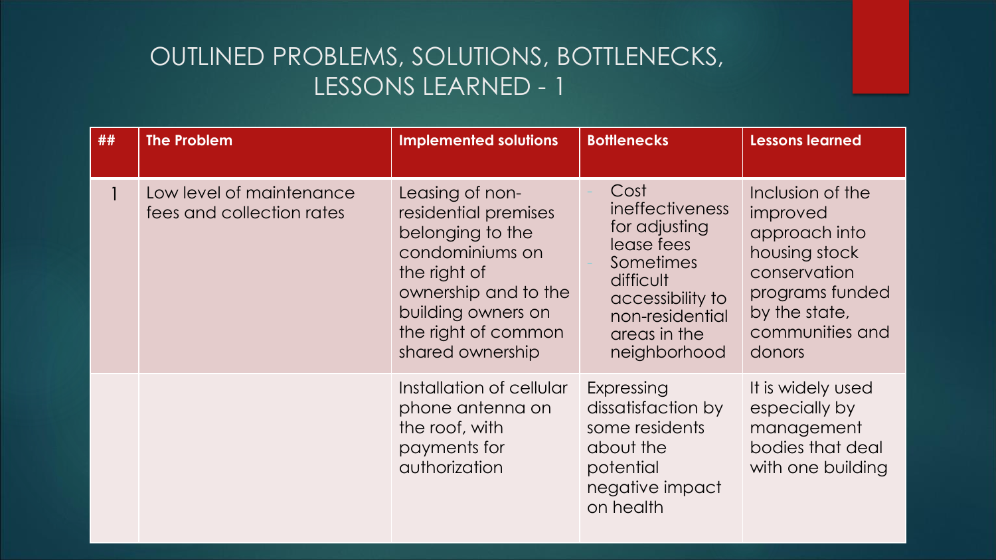| ## | <b>The Problem</b>                                    | <b>Implemented solutions</b>                                                                                                                                                            | <b>Bottlenecks</b>                                                                                                                                      | <b>Lessons learned</b>                                                                                                                          |
|----|-------------------------------------------------------|-----------------------------------------------------------------------------------------------------------------------------------------------------------------------------------------|---------------------------------------------------------------------------------------------------------------------------------------------------------|-------------------------------------------------------------------------------------------------------------------------------------------------|
|    | Low level of maintenance<br>fees and collection rates | Leasing of non-<br>residential premises<br>belonging to the<br>condominiums on<br>the right of<br>ownership and to the<br>building owners on<br>the right of common<br>shared ownership | Cost<br>ineffectiveness<br>for adjusting<br>lease fees<br>Sometimes<br>difficult<br>accessibility to<br>non-residential<br>areas in the<br>neighborhood | Inclusion of the<br>improved<br>approach into<br>housing stock<br>conservation<br>programs funded<br>by the state,<br>communities and<br>donors |
|    |                                                       | Installation of cellular<br>phone antenna on<br>the roof, with<br>payments for<br>authorization                                                                                         | Expressing<br>dissatisfaction by<br>some residents<br>about the<br>potential<br>negative impact<br>on health                                            | It is widely used<br>especially by<br>management<br>bodies that deal<br>with one building                                                       |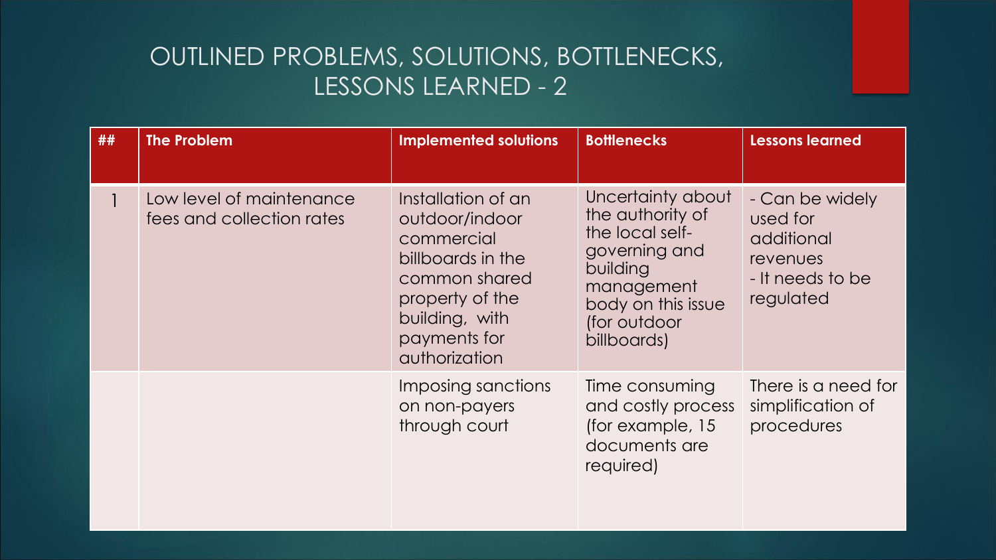| ## | <b>The Problem</b>                                    | <b>Implemented solutions</b>                                                                                                                                   | <b>Bottlenecks</b>                                                                                                                                       | <b>Lessons learned</b>                                                                 |
|----|-------------------------------------------------------|----------------------------------------------------------------------------------------------------------------------------------------------------------------|----------------------------------------------------------------------------------------------------------------------------------------------------------|----------------------------------------------------------------------------------------|
|    | Low level of maintenance<br>fees and collection rates | Installation of an<br>outdoor/indoor<br>commercial<br>billboards in the<br>common shared<br>property of the<br>building, with<br>payments for<br>authorization | Uncertainty about<br>the authority of<br>the local self-<br>governing and<br>building<br>management<br>body on this issue<br>(for outdoor<br>billboards) | - Can be widely<br>used for<br>additional<br>revenues<br>- It needs to be<br>regulated |
|    |                                                       | Imposing sanctions<br>on non-payers<br>through court                                                                                                           | Time consuming<br>and costly process<br>(for example, 15<br>documents are<br>required)                                                                   | There is a need for<br>simplification of<br>procedures                                 |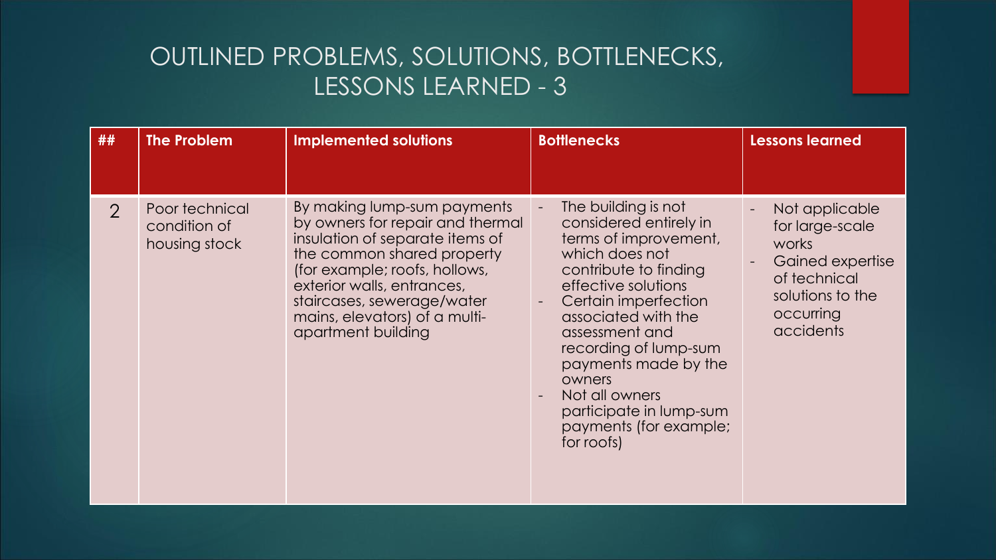| ##            | <b>The Problem</b>                              | <b>Implemented solutions</b>                                                                                                                                                                                                                                                         | <b>Bottlenecks</b>                                                                                                                                                                                                                                                                                                                                                          | <b>Lessons learned</b>                                                                                                       |
|---------------|-------------------------------------------------|--------------------------------------------------------------------------------------------------------------------------------------------------------------------------------------------------------------------------------------------------------------------------------------|-----------------------------------------------------------------------------------------------------------------------------------------------------------------------------------------------------------------------------------------------------------------------------------------------------------------------------------------------------------------------------|------------------------------------------------------------------------------------------------------------------------------|
| $\mathcal{P}$ | Poor technical<br>condition of<br>housing stock | By making lump-sum payments<br>by owners for repair and thermal<br>insulation of separate items of<br>the common shared property<br>(for example; roofs, hollows,<br>exterior walls, entrances,<br>staircases, sewerage/water<br>mains, elevators) of a multi-<br>apartment building | The building is not<br>considered entirely in<br>terms of improvement,<br>which does not<br>contribute to finding<br>effective solutions<br>Certain imperfection<br>$\blacksquare$<br>associated with the<br>assessment and<br>recording of lump-sum<br>payments made by the<br>owners<br>Not all owners<br>participate in lump-sum<br>payments (for example;<br>for roofs) | Not applicable<br>for large-scale<br>works<br>Gained expertise<br>of technical<br>solutions to the<br>occurring<br>accidents |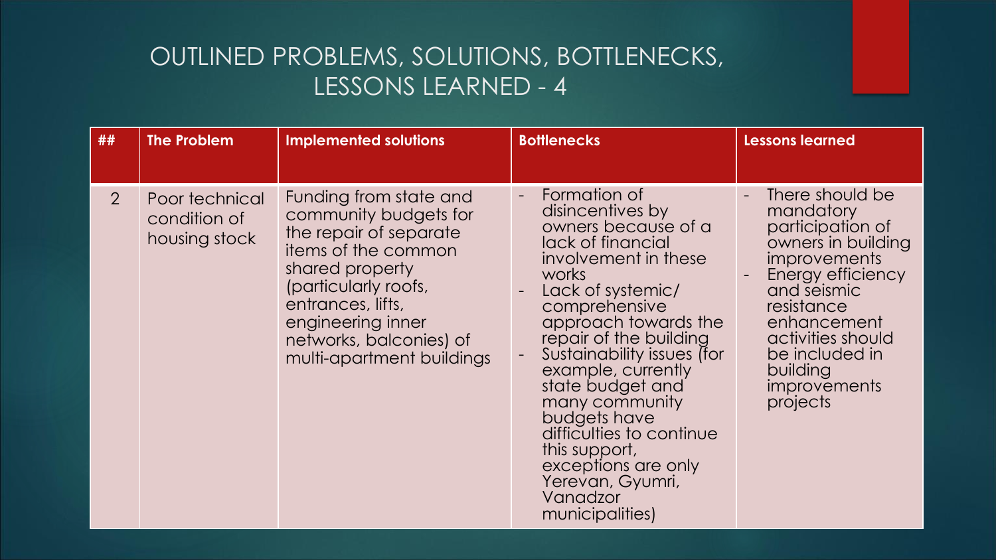| ##             | <b>The Problem</b>                              | <b>Implemented solutions</b>                                                                                                                                                                                                                  | <b>Bottlenecks</b>                                                                                                                                                                                                                                                                                                                                                                                                                     | <b>Lessons learned</b>                                                                                                                                                                                                                               |
|----------------|-------------------------------------------------|-----------------------------------------------------------------------------------------------------------------------------------------------------------------------------------------------------------------------------------------------|----------------------------------------------------------------------------------------------------------------------------------------------------------------------------------------------------------------------------------------------------------------------------------------------------------------------------------------------------------------------------------------------------------------------------------------|------------------------------------------------------------------------------------------------------------------------------------------------------------------------------------------------------------------------------------------------------|
| $\overline{2}$ | Poor technical<br>condition of<br>housing stock | Funding from state and<br>community budgets for<br>the repair of separate<br>items of the common<br>shared property<br>(particularly roofs,<br>entrances, lifts,<br>engineering inner<br>networks, balconies) of<br>multi-apartment buildings | Formation of<br>disincentives by<br>owners because of a<br>lack of financial<br>involvement in these<br>works<br>Lack of systemic/<br>comprehensive<br>approach towards the<br>repair of the building<br>Sustainability issues (for<br>example, currently<br>state budget and<br>many community<br>budgets have<br>difficulties to continue<br>this support,<br>exceptions are only<br>Yerevan, Gyumri,<br>Vanadzor<br>municipalities) | There should be<br>mandatory<br>participation of<br>owners in building<br><i>improvements</i><br>Energy efficiency<br>and seismic<br>resistance<br>enhancement<br>activities should<br>be included in<br>building<br><i>improvements</i><br>projects |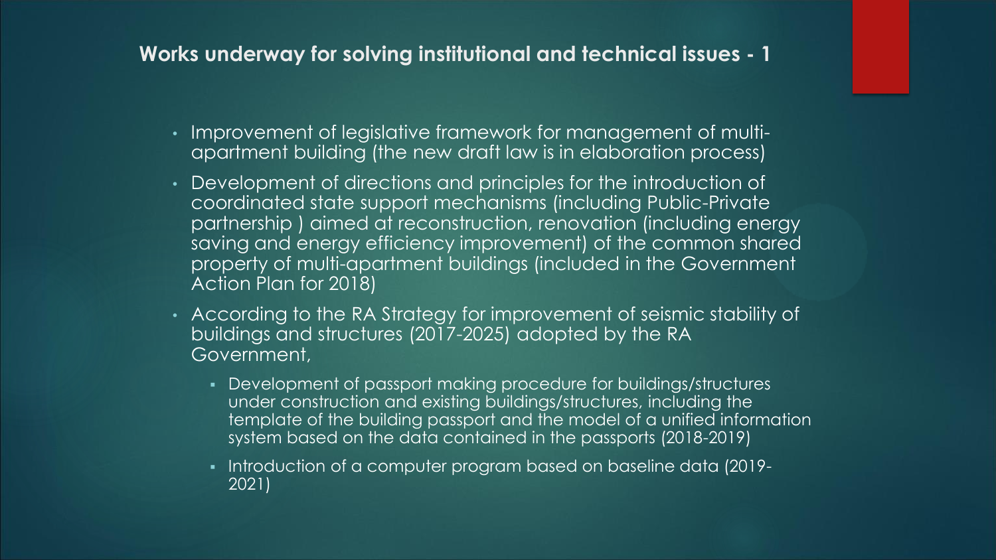### **Works underway for solving institutional and technical issues - 1**

- Improvement of legislative framework for management of multiapartment building (the new draft law is in elaboration process)
- Development of directions and principles for the introduction of coordinated state support mechanisms (including Public-Private partnership ) aimed at reconstruction, renovation (including energy saving and energy efficiency improvement) of the common shared property of multi-apartment buildings (included in the Government Action Plan for 2018)
- According to the RA Strategy for improvement of seismic stability of buildings and structures (2017-2025) adopted by the RA Government,
	- Development of passport making procedure for buildings/structures under construction and existing buildings/structures, including the template of the building passport and the model of a unified information system based on the data contained in the passports (2018-2019)
	- Introduction of a computer program based on baseline data (2019-2021)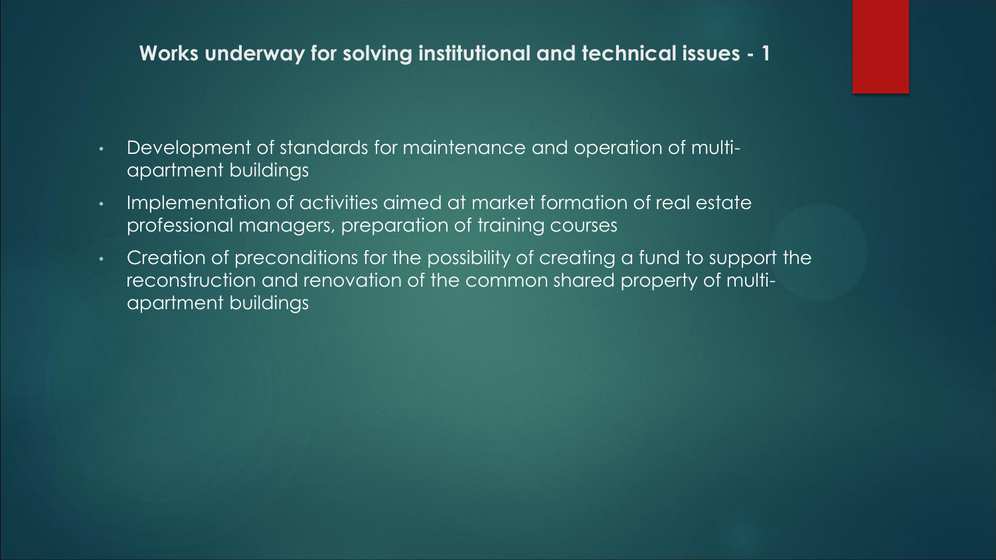#### **Works underway for solving institutional and technical issues - 1**

- Development of standards for maintenance and operation of multiapartment buildings
- Implementation of activities aimed at market formation of real estate professional managers, preparation of training courses
- Creation of preconditions for the possibility of creating a fund to support the reconstruction and renovation of the common shared property of multiapartment buildings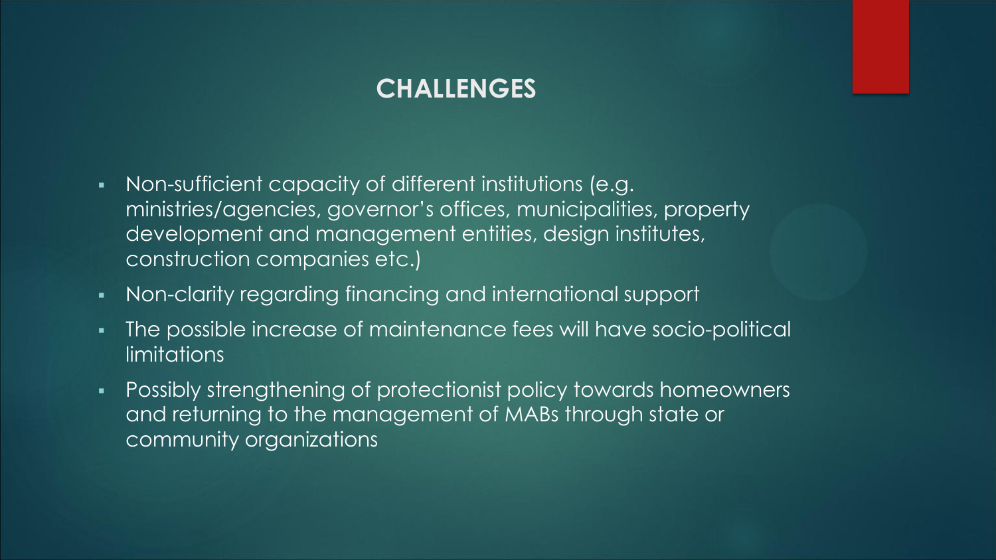## **CHALLENGES**

- Non-sufficient capacity of different institutions (e.g. ministries/agencies, governor's offices, municipalities, property development and management entities, design institutes, construction companies etc.)
- Non-clarity regarding financing and international support
- The possible increase of maintenance fees will have socio-political **limitations**
- **Possibly strengthening of protectionist policy towards homeowners** and returning to the management of MABs through state or community organizations